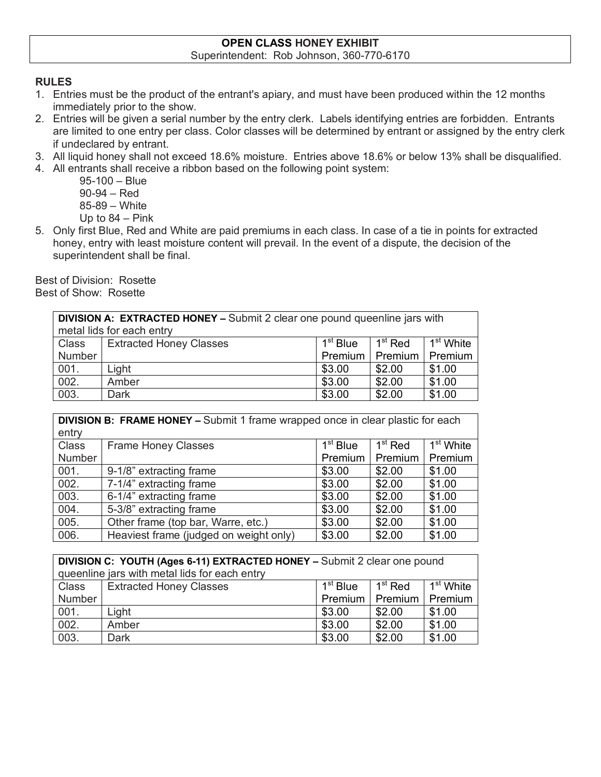## **OPEN CLASS HONEY EXHIBIT** Superintendent: Rob Johnson, 360-770-6170

## **RULES**

- 1. Entries must be the product of the entrant's apiary, and must have been produced within the 12 months immediately prior to the show.
- 2. Entries will be given a serial number by the entry clerk. Labels identifying entries are forbidden. Entrants are limited to one entry per class. Color classes will be determined by entrant or assigned by the entry clerk if undeclared by entrant.
- 3. All liquid honey shall not exceed 18.6% moisture. Entries above 18.6% or below 13% shall be disqualified.
- 4. All entrants shall receive a ribbon based on the following point system:
	- 95-100 Blue 90-94 – Red 85-89 – White Up to 84 – Pink
- 5. Only first Blue, Red and White are paid premiums in each class. In case of a tie in points for extracted honey, entry with least moisture content will prevail. In the event of a dispute, the decision of the superintendent shall be final.

Best of Division: Rosette Best of Show: Rosette

| <b>DIVISION A: EXTRACTED HONEY – Submit 2 clear one pound queenline jars with</b><br>metal lids for each entry |                                |                      |                   |                       |
|----------------------------------------------------------------------------------------------------------------|--------------------------------|----------------------|-------------------|-----------------------|
| Class                                                                                                          | <b>Extracted Honey Classes</b> | 1 <sup>st</sup> Blue | $1st$ Red         | 1 <sup>st</sup> White |
| Number                                                                                                         |                                |                      | Premium   Premium | Premium               |
| 001.                                                                                                           | Light                          | \$3.00               | \$2.00            | \$1.00                |
| 002.                                                                                                           | Amber                          | \$3.00               | \$2.00            | \$1.00                |
| 003.                                                                                                           | Dark                           | \$3.00               | \$2.00            | \$1.00                |

| <b>DIVISION B: FRAME HONEY - Submit 1 frame wrapped once in clear plastic for each</b> |                                        |            |                             |                           |
|----------------------------------------------------------------------------------------|----------------------------------------|------------|-----------------------------|---------------------------|
| entry                                                                                  |                                        |            |                             |                           |
| <b>Class</b>                                                                           | <b>Frame Honey Classes</b>             | $1st$ Blue | $\overline{1}^{\rm st}$ Red | $\overline{1^{st}}$ White |
| Number                                                                                 |                                        | Premium    | Premium                     | Premium                   |
| 001.                                                                                   | 9-1/8" extracting frame                | \$3.00     | \$2.00                      | \$1.00                    |
| 002.                                                                                   | 7-1/4" extracting frame                | \$3.00     | \$2.00                      | \$1.00                    |
| 003.                                                                                   | 6-1/4" extracting frame                | \$3.00     | \$2.00                      | \$1.00                    |
| 004.                                                                                   | 5-3/8" extracting frame                | \$3.00     | \$2.00                      | \$1.00                    |
| 005.                                                                                   | Other frame (top bar, Warre, etc.)     | \$3.00     | \$2.00                      | \$1.00                    |
| 006.                                                                                   | Heaviest frame (judged on weight only) | \$3.00     | \$2.00                      | \$1.00                    |

| DIVISION C: YOUTH (Ages 6-11) EXTRACTED HONEY - Submit 2 clear one pound |                                |                      |           |                       |
|--------------------------------------------------------------------------|--------------------------------|----------------------|-----------|-----------------------|
| queenline jars with metal lids for each entry                            |                                |                      |           |                       |
| Class                                                                    | <b>Extracted Honey Classes</b> | 1 <sup>st</sup> Blue | $1st$ Red | 1 <sup>st</sup> White |
| Number                                                                   |                                | Premium   Premium    |           | Premium               |
| 001.                                                                     | Light                          | \$3.00               | \$2.00    | \$1.00                |
| 002.                                                                     | Amber                          | \$3.00               | \$2.00    | \$1.00                |
| 003.                                                                     | Dark                           | \$3.00               | \$2.00    | \$1.00                |